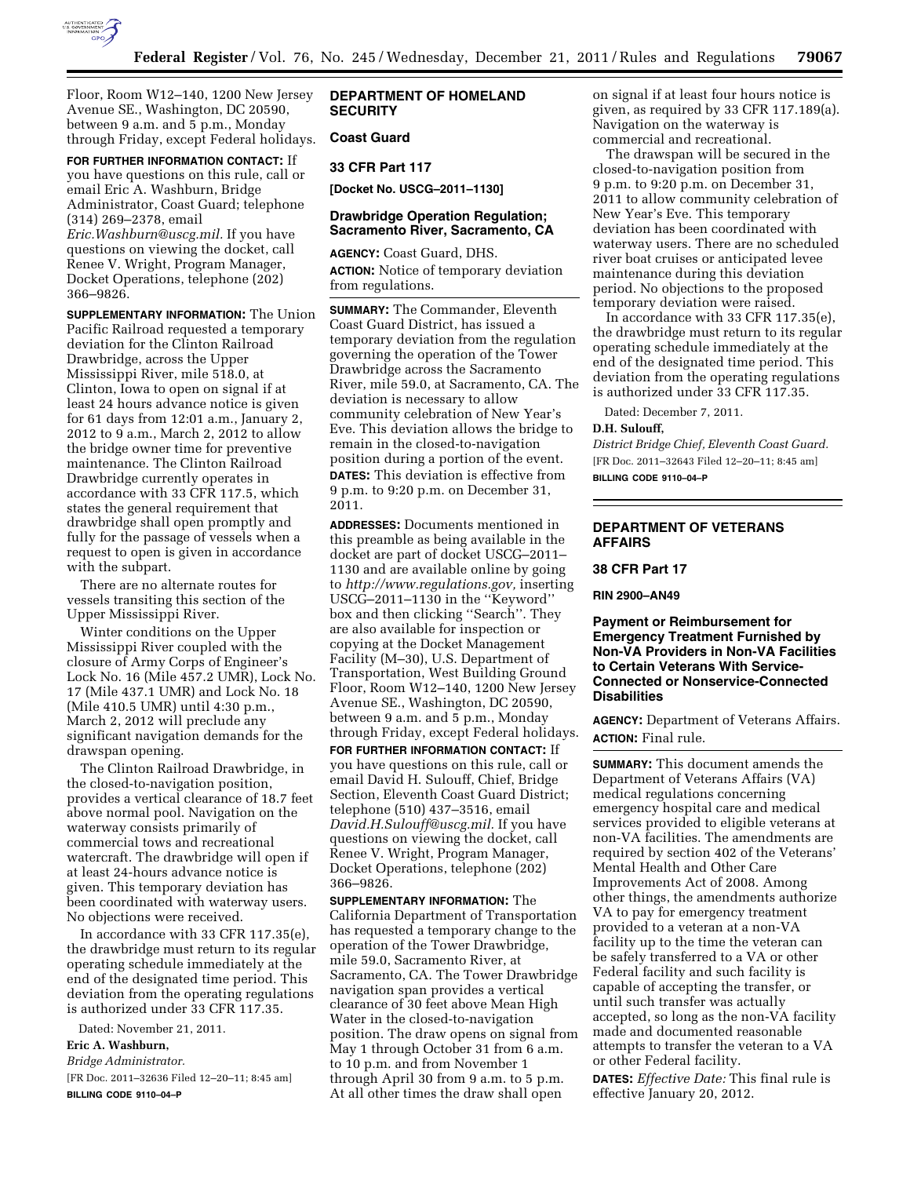

Floor, Room W12–140, 1200 New Jersey Avenue SE., Washington, DC 20590, between 9 a.m. and 5 p.m., Monday through Friday, except Federal holidays.

**FOR FURTHER INFORMATION CONTACT:** If you have questions on this rule, call or email Eric A. Washburn, Bridge Administrator, Coast Guard; telephone (314) 269–2378, email *[Eric.Washburn@uscg.mil.](mailto:Eric.Washburn@uscg.mil)* If you have questions on viewing the docket, call Renee V. Wright, Program Manager, Docket Operations, telephone (202) 366–9826.

**SUPPLEMENTARY INFORMATION:** The Union Pacific Railroad requested a temporary deviation for the Clinton Railroad Drawbridge, across the Upper Mississippi River, mile 518.0, at Clinton, Iowa to open on signal if at least 24 hours advance notice is given for 61 days from 12:01 a.m., January 2, 2012 to 9 a.m., March 2, 2012 to allow the bridge owner time for preventive maintenance. The Clinton Railroad Drawbridge currently operates in accordance with 33 CFR 117.5, which states the general requirement that drawbridge shall open promptly and fully for the passage of vessels when a request to open is given in accordance with the subpart.

There are no alternate routes for vessels transiting this section of the Upper Mississippi River.

Winter conditions on the Upper Mississippi River coupled with the closure of Army Corps of Engineer's Lock No. 16 (Mile 457.2 UMR), Lock No. 17 (Mile 437.1 UMR) and Lock No. 18 (Mile 410.5 UMR) until 4:30 p.m., March 2, 2012 will preclude any significant navigation demands for the drawspan opening.

The Clinton Railroad Drawbridge, in the closed-to-navigation position, provides a vertical clearance of 18.7 feet above normal pool. Navigation on the waterway consists primarily of commercial tows and recreational watercraft. The drawbridge will open if at least 24-hours advance notice is given. This temporary deviation has been coordinated with waterway users. No objections were received.

In accordance with 33 CFR 117.35(e), the drawbridge must return to its regular operating schedule immediately at the end of the designated time period. This deviation from the operating regulations is authorized under 33 CFR 117.35.

Dated: November 21, 2011.

# **Eric A. Washburn,**

*Bridge Administrator.* 

[FR Doc. 2011–32636 Filed 12–20–11; 8:45 am] **BILLING CODE 9110–04–P** 

# **DEPARTMENT OF HOMELAND SECURITY**

### **Coast Guard**

## **33 CFR Part 117**

**[Docket No. USCG–2011–1130]** 

### **Drawbridge Operation Regulation; Sacramento River, Sacramento, CA**

**AGENCY:** Coast Guard, DHS. **ACTION:** Notice of temporary deviation from regulations.

**SUMMARY:** The Commander, Eleventh Coast Guard District, has issued a temporary deviation from the regulation governing the operation of the Tower Drawbridge across the Sacramento River, mile 59.0, at Sacramento, CA. The deviation is necessary to allow community celebration of New Year's Eve. This deviation allows the bridge to remain in the closed-to-navigation position during a portion of the event. **DATES:** This deviation is effective from 9 p.m. to 9:20 p.m. on December 31, 2011.

**ADDRESSES:** Documents mentioned in this preamble as being available in the docket are part of docket USCG–2011– 1130 and are available online by going to *[http://www.regulations.gov,](http://www.regulations.gov)* inserting USCG–2011–1130 in the ''Keyword'' box and then clicking ''Search''. They are also available for inspection or copying at the Docket Management Facility (M–30), U.S. Department of Transportation, West Building Ground Floor, Room W12–140, 1200 New Jersey Avenue SE., Washington, DC 20590, between 9 a.m. and 5 p.m., Monday through Friday, except Federal holidays.

**FOR FURTHER INFORMATION CONTACT:** If you have questions on this rule, call or email David H. Sulouff, Chief, Bridge Section, Eleventh Coast Guard District; telephone (510) 437–3516, email *[David.H.Sulouff@uscg.mil.](mailto:David.H.Sulouff@uscg.mil)* If you have questions on viewing the docket, call Renee V. Wright, Program Manager, Docket Operations, telephone (202) 366–9826.

**SUPPLEMENTARY INFORMATION:** The California Department of Transportation has requested a temporary change to the operation of the Tower Drawbridge, mile 59.0, Sacramento River, at Sacramento, CA. The Tower Drawbridge navigation span provides a vertical clearance of 30 feet above Mean High Water in the closed-to-navigation position. The draw opens on signal from May 1 through October 31 from 6 a.m. to 10 p.m. and from November 1 through April 30 from 9 a.m. to 5 p.m. At all other times the draw shall open

on signal if at least four hours notice is given, as required by 33 CFR 117.189(a). Navigation on the waterway is commercial and recreational.

The drawspan will be secured in the closed-to-navigation position from 9 p.m. to 9:20 p.m. on December 31, 2011 to allow community celebration of New Year's Eve. This temporary deviation has been coordinated with waterway users. There are no scheduled river boat cruises or anticipated levee maintenance during this deviation period. No objections to the proposed temporary deviation were raised.

In accordance with 33 CFR 117.35(e), the drawbridge must return to its regular operating schedule immediately at the end of the designated time period. This deviation from the operating regulations is authorized under 33 CFR 117.35.

Dated: December 7, 2011.

#### **D.H. Sulouff,**

*District Bridge Chief, Eleventh Coast Guard.*  [FR Doc. 2011–32643 Filed 12–20–11; 8:45 am] **BILLING CODE 9110–04–P** 

# **DEPARTMENT OF VETERANS AFFAIRS**

### **38 CFR Part 17**

**RIN 2900–AN49** 

### **Payment or Reimbursement for Emergency Treatment Furnished by Non-VA Providers in Non-VA Facilities to Certain Veterans With Service-Connected or Nonservice-Connected Disabilities**

**AGENCY:** Department of Veterans Affairs. **ACTION:** Final rule.

**SUMMARY:** This document amends the Department of Veterans Affairs (VA) medical regulations concerning emergency hospital care and medical services provided to eligible veterans at non-VA facilities. The amendments are required by section 402 of the Veterans' Mental Health and Other Care Improvements Act of 2008. Among other things, the amendments authorize VA to pay for emergency treatment provided to a veteran at a non-VA facility up to the time the veteran can be safely transferred to a VA or other Federal facility and such facility is capable of accepting the transfer, or until such transfer was actually accepted, so long as the non-VA facility made and documented reasonable attempts to transfer the veteran to a VA or other Federal facility.

**DATES:** *Effective Date:* This final rule is effective January 20, 2012.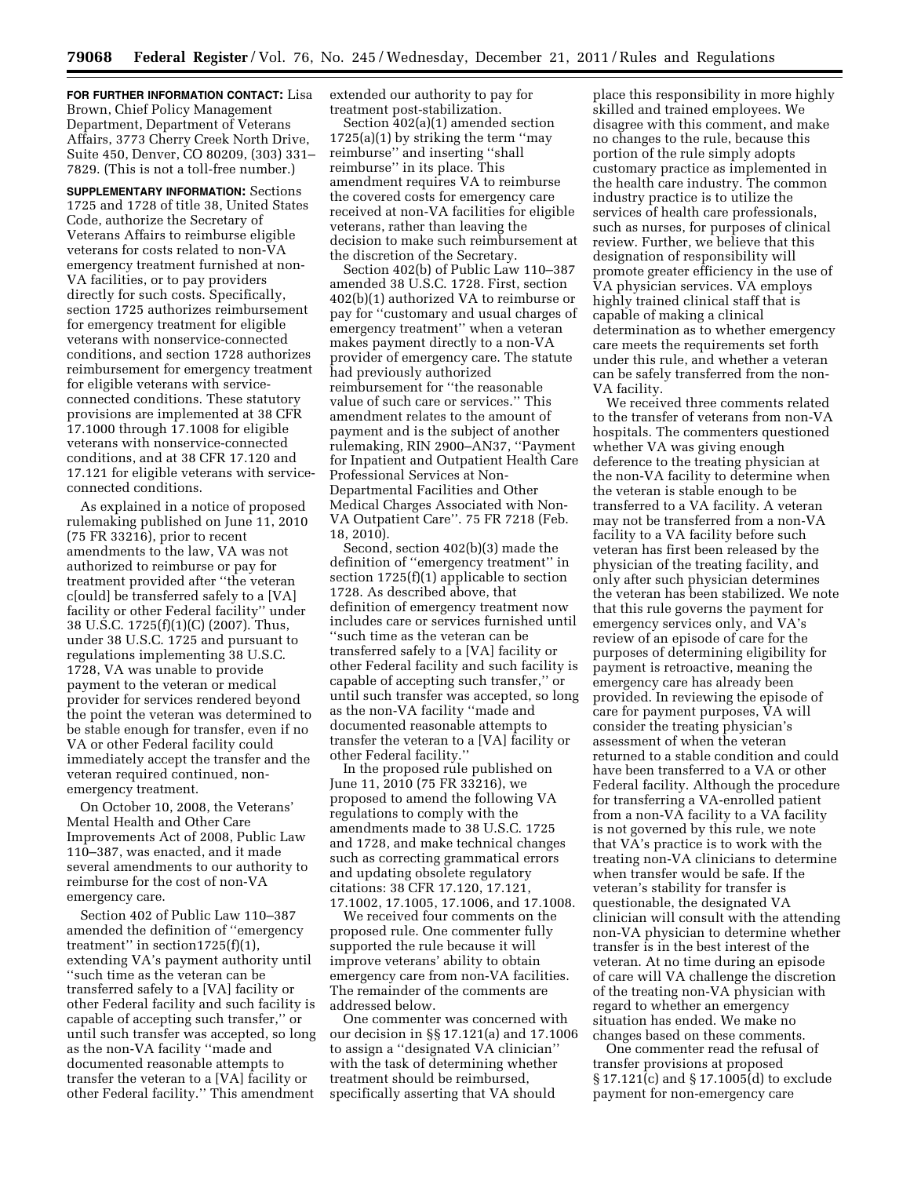**FOR FURTHER INFORMATION CONTACT:** Lisa Brown, Chief Policy Management Department, Department of Veterans Affairs, 3773 Cherry Creek North Drive, Suite 450, Denver, CO 80209, (303) 331– 7829. (This is not a toll-free number.)

**SUPPLEMENTARY INFORMATION:** Sections 1725 and 1728 of title 38, United States Code, authorize the Secretary of Veterans Affairs to reimburse eligible veterans for costs related to non-VA emergency treatment furnished at non-VA facilities, or to pay providers directly for such costs. Specifically, section 1725 authorizes reimbursement for emergency treatment for eligible veterans with nonservice-connected conditions, and section 1728 authorizes reimbursement for emergency treatment for eligible veterans with serviceconnected conditions. These statutory provisions are implemented at 38 CFR 17.1000 through 17.1008 for eligible veterans with nonservice-connected conditions, and at 38 CFR 17.120 and 17.121 for eligible veterans with serviceconnected conditions.

As explained in a notice of proposed rulemaking published on June 11, 2010 (75 FR 33216), prior to recent amendments to the law, VA was not authorized to reimburse or pay for treatment provided after ''the veteran c[ould] be transferred safely to a [VA] facility or other Federal facility'' under 38 U.S.C. 1725(f)(1)(C) (2007). Thus, under 38 U.S.C. 1725 and pursuant to regulations implementing 38 U.S.C. 1728, VA was unable to provide payment to the veteran or medical provider for services rendered beyond the point the veteran was determined to be stable enough for transfer, even if no VA or other Federal facility could immediately accept the transfer and the veteran required continued, nonemergency treatment.

On October 10, 2008, the Veterans' Mental Health and Other Care Improvements Act of 2008, Public Law 110–387, was enacted, and it made several amendments to our authority to reimburse for the cost of non-VA emergency care.

Section 402 of Public Law 110–387 amended the definition of ''emergency treatment'' in section1725(f)(1), extending VA's payment authority until ''such time as the veteran can be transferred safely to a [VA] facility or other Federal facility and such facility is capable of accepting such transfer,'' or until such transfer was accepted, so long as the non-VA facility ''made and documented reasonable attempts to transfer the veteran to a [VA] facility or other Federal facility.'' This amendment

extended our authority to pay for treatment post-stabilization.

Section 402(a)(1) amended section 1725(a)(1) by striking the term ''may reimburse'' and inserting ''shall reimburse'' in its place. This amendment requires VA to reimburse the covered costs for emergency care received at non-VA facilities for eligible veterans, rather than leaving the decision to make such reimbursement at the discretion of the Secretary.

Section 402(b) of Public Law 110–387 amended 38 U.S.C. 1728. First, section 402(b)(1) authorized VA to reimburse or pay for ''customary and usual charges of emergency treatment'' when a veteran makes payment directly to a non-VA provider of emergency care. The statute had previously authorized reimbursement for ''the reasonable value of such care or services.'' This amendment relates to the amount of payment and is the subject of another rulemaking, RIN 2900–AN37, ''Payment for Inpatient and Outpatient Health Care Professional Services at Non-Departmental Facilities and Other Medical Charges Associated with Non-VA Outpatient Care''. 75 FR 7218 (Feb. 18, 2010).

Second, section 402(b)(3) made the definition of ''emergency treatment'' in section 1725(f)(1) applicable to section 1728. As described above, that definition of emergency treatment now includes care or services furnished until ''such time as the veteran can be transferred safely to a [VA] facility or other Federal facility and such facility is capable of accepting such transfer,'' or until such transfer was accepted, so long as the non-VA facility ''made and documented reasonable attempts to transfer the veteran to a [VA] facility or other Federal facility.''

In the proposed rule published on June 11, 2010 (75 FR 33216), we proposed to amend the following VA regulations to comply with the amendments made to 38 U.S.C. 1725 and 1728, and make technical changes such as correcting grammatical errors and updating obsolete regulatory citations: 38 CFR 17.120, 17.121, 17.1002, 17.1005, 17.1006, and 17.1008.

We received four comments on the proposed rule. One commenter fully supported the rule because it will improve veterans' ability to obtain emergency care from non-VA facilities. The remainder of the comments are addressed below.

One commenter was concerned with our decision in §§ 17.121(a) and 17.1006 to assign a ''designated VA clinician'' with the task of determining whether treatment should be reimbursed, specifically asserting that VA should

place this responsibility in more highly skilled and trained employees. We disagree with this comment, and make no changes to the rule, because this portion of the rule simply adopts customary practice as implemented in the health care industry. The common industry practice is to utilize the services of health care professionals, such as nurses, for purposes of clinical review. Further, we believe that this designation of responsibility will promote greater efficiency in the use of VA physician services. VA employs highly trained clinical staff that is capable of making a clinical determination as to whether emergency care meets the requirements set forth under this rule, and whether a veteran can be safely transferred from the non-VA facility.

We received three comments related to the transfer of veterans from non-VA hospitals. The commenters questioned whether VA was giving enough deference to the treating physician at the non-VA facility to determine when the veteran is stable enough to be transferred to a VA facility. A veteran may not be transferred from a non-VA facility to a VA facility before such veteran has first been released by the physician of the treating facility, and only after such physician determines the veteran has been stabilized. We note that this rule governs the payment for emergency services only, and VA's review of an episode of care for the purposes of determining eligibility for payment is retroactive, meaning the emergency care has already been provided. In reviewing the episode of care for payment purposes, VA will consider the treating physician's assessment of when the veteran returned to a stable condition and could have been transferred to a VA or other Federal facility. Although the procedure for transferring a VA-enrolled patient from a non-VA facility to a VA facility is not governed by this rule, we note that VA's practice is to work with the treating non-VA clinicians to determine when transfer would be safe. If the veteran's stability for transfer is questionable, the designated VA clinician will consult with the attending non-VA physician to determine whether transfer is in the best interest of the veteran. At no time during an episode of care will VA challenge the discretion of the treating non-VA physician with regard to whether an emergency situation has ended. We make no changes based on these comments.

One commenter read the refusal of transfer provisions at proposed § 17.121(c) and § 17.1005(d) to exclude payment for non-emergency care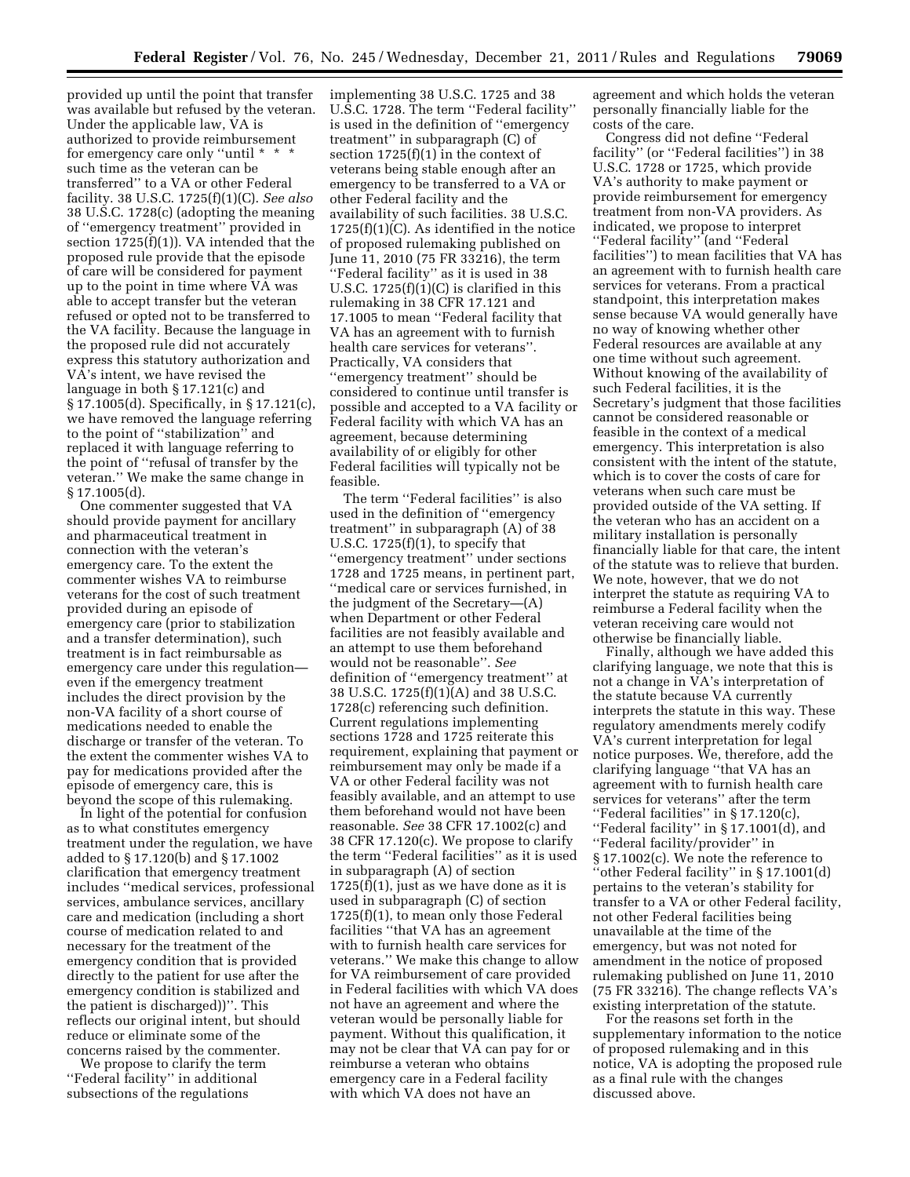provided up until the point that transfer was available but refused by the veteran. Under the applicable law, VA is authorized to provide reimbursement for emergency care only ''until \* \* \* such time as the veteran can be transferred'' to a VA or other Federal facility. 38 U.S.C. 1725(f)(1)(C). *See also*  38 U.S.C. 1728(c) (adopting the meaning of ''emergency treatment'' provided in section 1725(f)(1)). VA intended that the proposed rule provide that the episode of care will be considered for payment up to the point in time where VA was able to accept transfer but the veteran refused or opted not to be transferred to the VA facility. Because the language in the proposed rule did not accurately express this statutory authorization and VA's intent, we have revised the language in both § 17.121(c) and § 17.1005(d). Specifically, in § 17.121(c), we have removed the language referring to the point of ''stabilization'' and replaced it with language referring to the point of ''refusal of transfer by the veteran.'' We make the same change in § 17.1005(d).

One commenter suggested that VA should provide payment for ancillary and pharmaceutical treatment in connection with the veteran's emergency care. To the extent the commenter wishes VA to reimburse veterans for the cost of such treatment provided during an episode of emergency care (prior to stabilization and a transfer determination), such treatment is in fact reimbursable as emergency care under this regulation even if the emergency treatment includes the direct provision by the non-VA facility of a short course of medications needed to enable the discharge or transfer of the veteran. To the extent the commenter wishes VA to pay for medications provided after the episode of emergency care, this is beyond the scope of this rulemaking.

In light of the potential for confusion as to what constitutes emergency treatment under the regulation, we have added to § 17.120(b) and § 17.1002 clarification that emergency treatment includes ''medical services, professional services, ambulance services, ancillary care and medication (including a short course of medication related to and necessary for the treatment of the emergency condition that is provided directly to the patient for use after the emergency condition is stabilized and the patient is discharged))''. This reflects our original intent, but should reduce or eliminate some of the concerns raised by the commenter.

We propose to clarify the term ''Federal facility'' in additional subsections of the regulations

implementing 38 U.S.C. 1725 and 38 U.S.C. 1728. The term ''Federal facility'' is used in the definition of ''emergency treatment'' in subparagraph (C) of section 1725(f)(1) in the context of veterans being stable enough after an emergency to be transferred to a VA or other Federal facility and the availability of such facilities. 38 U.S.C. 1725(f)(1)(C). As identified in the notice of proposed rulemaking published on June 11, 2010 (75 FR 33216), the term ''Federal facility'' as it is used in 38 U.S.C. 1725(f)(1)(C) is clarified in this rulemaking in 38 CFR 17.121 and 17.1005 to mean ''Federal facility that VA has an agreement with to furnish health care services for veterans''. Practically, VA considers that ''emergency treatment'' should be considered to continue until transfer is possible and accepted to a VA facility or Federal facility with which VA has an agreement, because determining availability of or eligibly for other Federal facilities will typically not be feasible.

The term ''Federal facilities'' is also used in the definition of ''emergency treatment'' in subparagraph (A) of 38 U.S.C.  $1725(f)(1)$ , to specify that ''emergency treatment'' under sections 1728 and 1725 means, in pertinent part, ''medical care or services furnished, in the judgment of the Secretary—(A) when Department or other Federal facilities are not feasibly available and an attempt to use them beforehand would not be reasonable''. *See*  definition of ''emergency treatment'' at 38 U.S.C. 1725(f)(1)(A) and 38 U.S.C. 1728(c) referencing such definition. Current regulations implementing sections 1728 and 1725 reiterate this requirement, explaining that payment or reimbursement may only be made if a VA or other Federal facility was not feasibly available, and an attempt to use them beforehand would not have been reasonable. *See* 38 CFR 17.1002(c) and 38 CFR 17.120(c). We propose to clarify the term ''Federal facilities'' as it is used in subparagraph (A) of section 1725(f)(1), just as we have done as it is used in subparagraph (C) of section 1725(f)(1), to mean only those Federal facilities ''that VA has an agreement with to furnish health care services for veterans.'' We make this change to allow for VA reimbursement of care provided in Federal facilities with which VA does not have an agreement and where the veteran would be personally liable for payment. Without this qualification, it may not be clear that VA can pay for or reimburse a veteran who obtains emergency care in a Federal facility with which VA does not have an

agreement and which holds the veteran personally financially liable for the costs of the care.

Congress did not define ''Federal facility'' (or ''Federal facilities'') in 38 U.S.C. 1728 or 1725, which provide VA's authority to make payment or provide reimbursement for emergency treatment from non-VA providers. As indicated, we propose to interpret ''Federal facility'' (and ''Federal facilities'') to mean facilities that VA has an agreement with to furnish health care services for veterans. From a practical standpoint, this interpretation makes sense because VA would generally have no way of knowing whether other Federal resources are available at any one time without such agreement. Without knowing of the availability of such Federal facilities, it is the Secretary's judgment that those facilities cannot be considered reasonable or feasible in the context of a medical emergency. This interpretation is also consistent with the intent of the statute, which is to cover the costs of care for veterans when such care must be provided outside of the VA setting. If the veteran who has an accident on a military installation is personally financially liable for that care, the intent of the statute was to relieve that burden. We note, however, that we do not interpret the statute as requiring VA to reimburse a Federal facility when the veteran receiving care would not otherwise be financially liable.

Finally, although we have added this clarifying language, we note that this is not a change in VA's interpretation of the statute because VA currently interprets the statute in this way. These regulatory amendments merely codify VA's current interpretation for legal notice purposes. We, therefore, add the clarifying language ''that VA has an agreement with to furnish health care services for veterans'' after the term ''Federal facilities'' in § 17.120(c), ''Federal facility'' in § 17.1001(d), and ''Federal facility/provider'' in § 17.1002(c). We note the reference to ''other Federal facility'' in § 17.1001(d) pertains to the veteran's stability for transfer to a VA or other Federal facility, not other Federal facilities being unavailable at the time of the emergency, but was not noted for amendment in the notice of proposed rulemaking published on June 11, 2010 (75 FR 33216). The change reflects VA's existing interpretation of the statute.

For the reasons set forth in the supplementary information to the notice of proposed rulemaking and in this notice, VA is adopting the proposed rule as a final rule with the changes discussed above.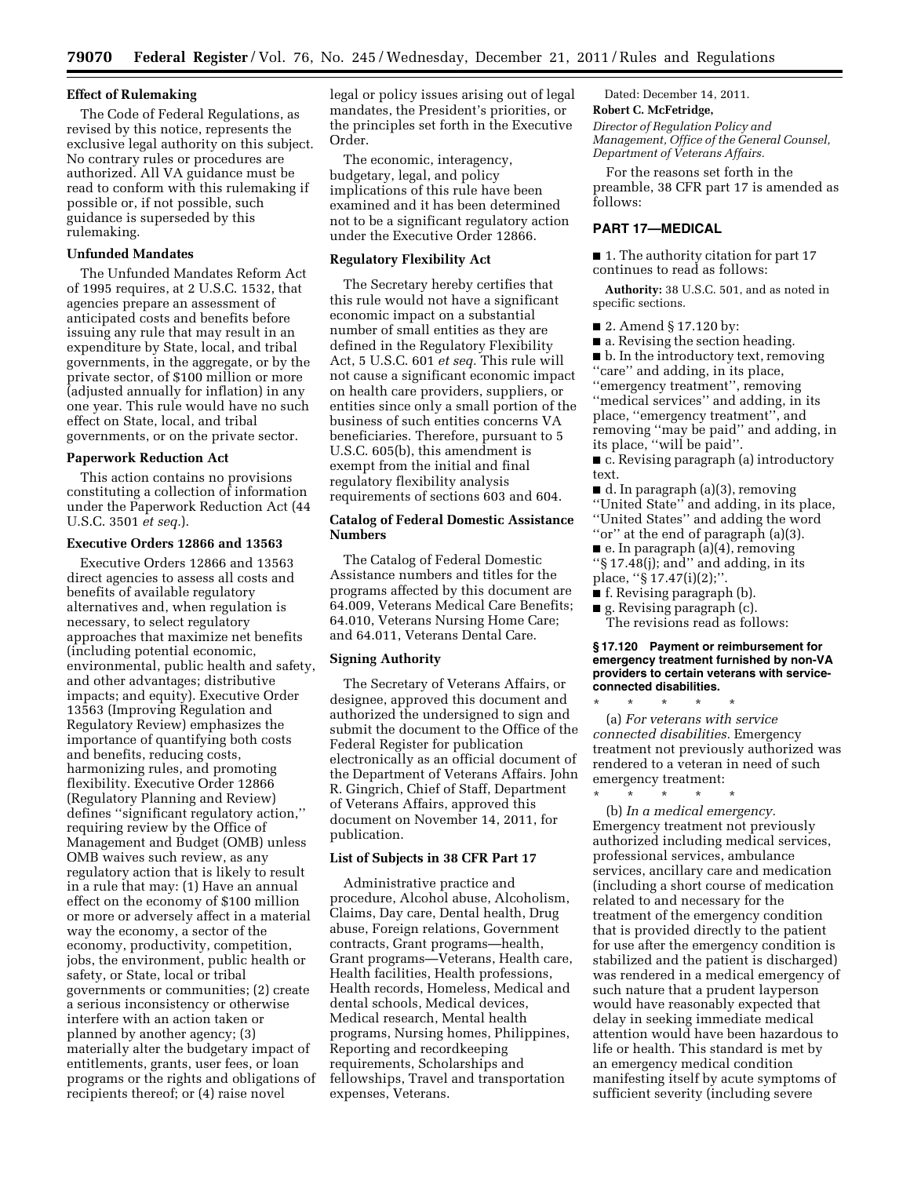### **Effect of Rulemaking**

The Code of Federal Regulations, as revised by this notice, represents the exclusive legal authority on this subject. No contrary rules or procedures are authorized. All VA guidance must be read to conform with this rulemaking if possible or, if not possible, such guidance is superseded by this rulemaking.

### **Unfunded Mandates**

The Unfunded Mandates Reform Act of 1995 requires, at 2 U.S.C. 1532, that agencies prepare an assessment of anticipated costs and benefits before issuing any rule that may result in an expenditure by State, local, and tribal governments, in the aggregate, or by the private sector, of \$100 million or more (adjusted annually for inflation) in any one year. This rule would have no such effect on State, local, and tribal governments, or on the private sector.

#### **Paperwork Reduction Act**

This action contains no provisions constituting a collection of information under the Paperwork Reduction Act (44 U.S.C. 3501 *et seq.*).

### **Executive Orders 12866 and 13563**

Executive Orders 12866 and 13563 direct agencies to assess all costs and benefits of available regulatory alternatives and, when regulation is necessary, to select regulatory approaches that maximize net benefits (including potential economic, environmental, public health and safety, and other advantages; distributive impacts; and equity). Executive Order 13563 (Improving Regulation and Regulatory Review) emphasizes the importance of quantifying both costs and benefits, reducing costs, harmonizing rules, and promoting flexibility. Executive Order 12866 (Regulatory Planning and Review) defines ''significant regulatory action,'' requiring review by the Office of Management and Budget (OMB) unless OMB waives such review, as any regulatory action that is likely to result in a rule that may: (1) Have an annual effect on the economy of \$100 million or more or adversely affect in a material way the economy, a sector of the economy, productivity, competition, jobs, the environment, public health or safety, or State, local or tribal governments or communities; (2) create a serious inconsistency or otherwise interfere with an action taken or planned by another agency; (3) materially alter the budgetary impact of entitlements, grants, user fees, or loan programs or the rights and obligations of recipients thereof; or (4) raise novel

legal or policy issues arising out of legal mandates, the President's priorities, or the principles set forth in the Executive Order.

The economic, interagency, budgetary, legal, and policy implications of this rule have been examined and it has been determined not to be a significant regulatory action under the Executive Order 12866.

#### **Regulatory Flexibility Act**

The Secretary hereby certifies that this rule would not have a significant economic impact on a substantial number of small entities as they are defined in the Regulatory Flexibility Act, 5 U.S.C. 601 *et seq.* This rule will not cause a significant economic impact on health care providers, suppliers, or entities since only a small portion of the business of such entities concerns VA beneficiaries. Therefore, pursuant to 5 U.S.C. 605(b), this amendment is exempt from the initial and final regulatory flexibility analysis requirements of sections 603 and 604.

### **Catalog of Federal Domestic Assistance Numbers**

The Catalog of Federal Domestic Assistance numbers and titles for the programs affected by this document are 64.009, Veterans Medical Care Benefits; 64.010, Veterans Nursing Home Care; and 64.011, Veterans Dental Care.

### **Signing Authority**

The Secretary of Veterans Affairs, or designee, approved this document and authorized the undersigned to sign and submit the document to the Office of the Federal Register for publication electronically as an official document of the Department of Veterans Affairs. John R. Gingrich, Chief of Staff, Department of Veterans Affairs, approved this document on November 14, 2011, for publication.

### **List of Subjects in 38 CFR Part 17**

Administrative practice and procedure, Alcohol abuse, Alcoholism, Claims, Day care, Dental health, Drug abuse, Foreign relations, Government contracts, Grant programs—health, Grant programs—Veterans, Health care, Health facilities, Health professions, Health records, Homeless, Medical and dental schools, Medical devices, Medical research, Mental health programs, Nursing homes, Philippines, Reporting and recordkeeping requirements, Scholarships and fellowships, Travel and transportation expenses, Veterans.

Dated: December 14, 2011.

#### **Robert C. McFetridge,**

*Director of Regulation Policy and Management, Office of the General Counsel, Department of Veterans Affairs.* 

For the reasons set forth in the preamble, 38 CFR part 17 is amended as follows:

### **PART 17—MEDICAL**

■ 1. The authority citation for part 17 continues to read as follows:

**Authority:** 38 U.S.C. 501, and as noted in specific sections.

- 2. Amend § 17.120 by:
- a. Revising the section heading.

■ b. In the introductory text, removing ''care'' and adding, in its place, ''emergency treatment'', removing ''medical services'' and adding, in its place, ''emergency treatment'', and removing ''may be paid'' and adding, in its place, ''will be paid''.

■ c. Revising paragraph (a) introductory text.

■ d. In paragraph (a)(3), removing ''United State'' and adding, in its place, ''United States'' and adding the word ''or'' at the end of paragraph (a)(3).

 $\blacksquare$  e. In paragraph (a)(4), removing

''§ 17.48(j); and'' and adding, in its place, "§ 17.47(i)(2);"

- f. Revising paragraph (b).
- g. Revising paragraph (c).

The revisions read as follows:

**§ 17.120 Payment or reimbursement for emergency treatment furnished by non-VA providers to certain veterans with serviceconnected disabilities.** 

\* \* \* \* \* (a) *For veterans with service connected disabilities.* Emergency treatment not previously authorized was rendered to a veteran in need of such emergency treatment:

\* \* \* \* \* (b) *In a medical emergency.*  Emergency treatment not previously authorized including medical services, professional services, ambulance services, ancillary care and medication (including a short course of medication related to and necessary for the treatment of the emergency condition that is provided directly to the patient for use after the emergency condition is stabilized and the patient is discharged) was rendered in a medical emergency of such nature that a prudent layperson would have reasonably expected that delay in seeking immediate medical attention would have been hazardous to life or health. This standard is met by an emergency medical condition manifesting itself by acute symptoms of sufficient severity (including severe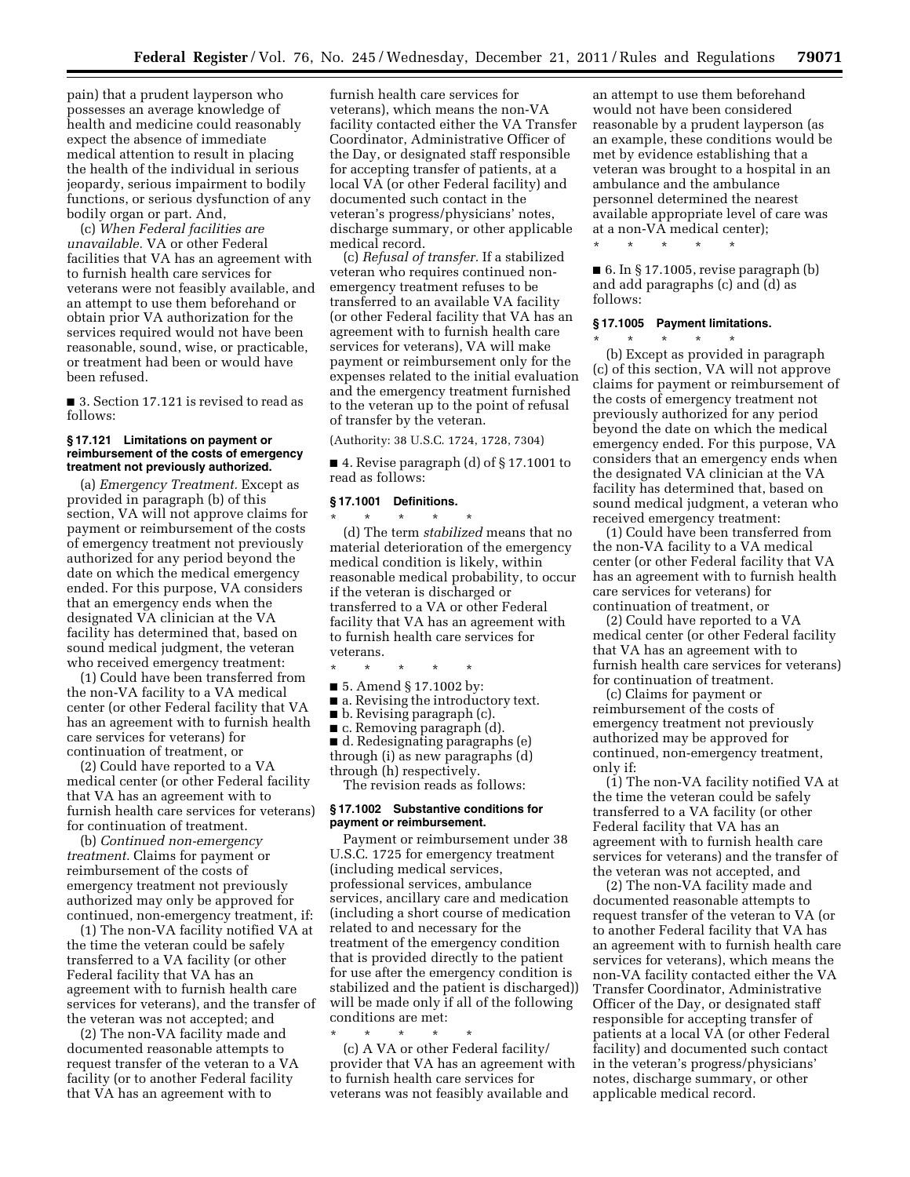pain) that a prudent layperson who possesses an average knowledge of health and medicine could reasonably expect the absence of immediate medical attention to result in placing the health of the individual in serious jeopardy, serious impairment to bodily functions, or serious dysfunction of any bodily organ or part. And,

(c) *When Federal facilities are unavailable.* VA or other Federal facilities that VA has an agreement with to furnish health care services for veterans were not feasibly available, and an attempt to use them beforehand or obtain prior VA authorization for the services required would not have been reasonable, sound, wise, or practicable, or treatment had been or would have been refused.

■ 3. Section 17.121 is revised to read as follows:

#### **§ 17.121 Limitations on payment or reimbursement of the costs of emergency treatment not previously authorized.**

(a) *Emergency Treatment.* Except as provided in paragraph (b) of this section, VA will not approve claims for payment or reimbursement of the costs of emergency treatment not previously authorized for any period beyond the date on which the medical emergency ended. For this purpose, VA considers that an emergency ends when the designated VA clinician at the VA facility has determined that, based on sound medical judgment, the veteran who received emergency treatment:

(1) Could have been transferred from the non-VA facility to a VA medical center (or other Federal facility that VA has an agreement with to furnish health care services for veterans) for continuation of treatment, or

(2) Could have reported to a VA medical center (or other Federal facility that VA has an agreement with to furnish health care services for veterans) for continuation of treatment.

(b) *Continued non-emergency treatment.* Claims for payment or reimbursement of the costs of emergency treatment not previously authorized may only be approved for continued, non-emergency treatment, if:

(1) The non-VA facility notified VA at the time the veteran could be safely transferred to a VA facility (or other Federal facility that VA has an agreement with to furnish health care services for veterans), and the transfer of the veteran was not accepted; and

(2) The non-VA facility made and documented reasonable attempts to request transfer of the veteran to a VA facility (or to another Federal facility that VA has an agreement with to

furnish health care services for veterans), which means the non-VA facility contacted either the VA Transfer Coordinator, Administrative Officer of the Day, or designated staff responsible for accepting transfer of patients, at a local VA (or other Federal facility) and documented such contact in the veteran's progress/physicians' notes, discharge summary, or other applicable medical record.

(c) *Refusal of transfer.* If a stabilized veteran who requires continued nonemergency treatment refuses to be transferred to an available VA facility (or other Federal facility that VA has an agreement with to furnish health care services for veterans), VA will make payment or reimbursement only for the expenses related to the initial evaluation and the emergency treatment furnished to the veteran up to the point of refusal of transfer by the veteran.

(Authority: 38 U.S.C. 1724, 1728, 7304)

■ 4. Revise paragraph (d) of § 17.1001 to read as follows:

#### **§ 17.1001 Definitions.**

\* \* \* \* \* (d) The term *stabilized* means that no material deterioration of the emergency medical condition is likely, within reasonable medical probability, to occur if the veteran is discharged or transferred to a VA or other Federal facility that VA has an agreement with to furnish health care services for veterans.

\* \* \* \* \*

- 5. Amend § 17.1002 by:
- a. Revising the introductory text.
- b. Revising paragraph (c).

■ c. Removing paragraph (d).

■ d. Redesignating paragraphs (e) through (i) as new paragraphs (d) through (h) respectively.

The revision reads as follows:

# **§ 17.1002 Substantive conditions for payment or reimbursement.**

Payment or reimbursement under 38 U.S.C. 1725 for emergency treatment (including medical services, professional services, ambulance services, ancillary care and medication (including a short course of medication related to and necessary for the treatment of the emergency condition that is provided directly to the patient for use after the emergency condition is stabilized and the patient is discharged)) will be made only if all of the following conditions are met:

\* \* \* \* \* (c) A VA or other Federal facility/ provider that VA has an agreement with to furnish health care services for veterans was not feasibly available and

an attempt to use them beforehand would not have been considered reasonable by a prudent layperson (as an example, these conditions would be met by evidence establishing that a veteran was brought to a hospital in an ambulance and the ambulance personnel determined the nearest available appropriate level of care was at a non-VA medical center);

\* \* \* \* \*

 $\blacksquare$  6. In § 17.1005, revise paragraph (b) and add paragraphs (c) and (d) as follows:

# **§ 17.1005 Payment limitations.**

\* \* \* \* \* (b) Except as provided in paragraph (c) of this section, VA will not approve claims for payment or reimbursement of the costs of emergency treatment not previously authorized for any period beyond the date on which the medical emergency ended. For this purpose, VA considers that an emergency ends when the designated VA clinician at the VA facility has determined that, based on sound medical judgment, a veteran who received emergency treatment:

(1) Could have been transferred from the non-VA facility to a VA medical center (or other Federal facility that VA has an agreement with to furnish health care services for veterans) for continuation of treatment, or

(2) Could have reported to a VA medical center (or other Federal facility that VA has an agreement with to furnish health care services for veterans) for continuation of treatment.

(c) Claims for payment or reimbursement of the costs of emergency treatment not previously authorized may be approved for continued, non-emergency treatment, only if:

(1) The non-VA facility notified VA at the time the veteran could be safely transferred to a VA facility (or other Federal facility that VA has an agreement with to furnish health care services for veterans) and the transfer of the veteran was not accepted, and

(2) The non-VA facility made and documented reasonable attempts to request transfer of the veteran to VA (or to another Federal facility that VA has an agreement with to furnish health care services for veterans), which means the non-VA facility contacted either the VA Transfer Coordinator, Administrative Officer of the Day, or designated staff responsible for accepting transfer of patients at a local VA (or other Federal facility) and documented such contact in the veteran's progress/physicians' notes, discharge summary, or other applicable medical record.